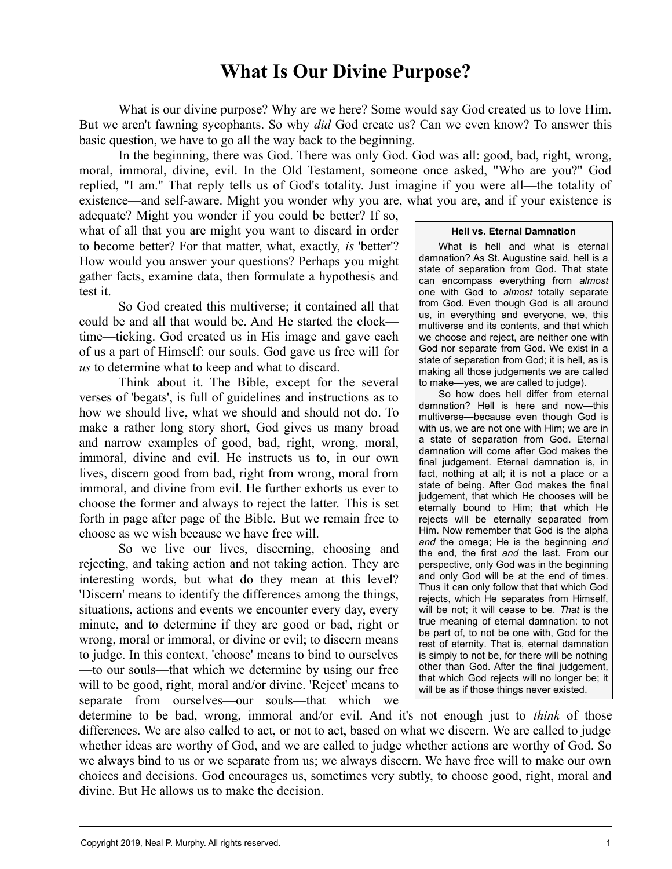## **What Is Our Divine Purpose?**

What is our divine purpose? Why are we here? Some would say God created us to love Him. But we aren't fawning sycophants. So why *did* God create us? Can we even know? To answer this basic question, we have to go all the way back to the beginning.

In the beginning, there was God. There was only God. God was all: good, bad, right, wrong, moral, immoral, divine, evil. In the Old Testament, someone once asked, "Who are you?" God replied, "I am." That reply tells us of God's totality. Just imagine if you were all—the totality of existence—and self-aware. Might you wonder why you are, what you are, and if your existence is

adequate? Might you wonder if you could be better? If so, what of all that you are might you want to discard in order to become better? For that matter, what, exactly, *is* 'better'? How would you answer your questions? Perhaps you might gather facts, examine data, then formulate a hypothesis and test it.

So God created this multiverse; it contained all that could be and all that would be. And He started the clock time—ticking. God created us in His image and gave each of us a part of Himself: our souls. God gave us free will for *us* to determine what to keep and what to discard.

Think about it. The Bible, except for the several verses of 'begats', is full of guidelines and instructions as to how we should live, what we should and should not do. To make a rather long story short, God gives us many broad and narrow examples of good, bad, right, wrong, moral, immoral, divine and evil. He instructs us to, in our own lives, discern good from bad, right from wrong, moral from immoral, and divine from evil. He further exhorts us ever to choose the former and always to reject the latter. This is set forth in page after page of the Bible. But we remain free to choose as we wish because we have free will.

So we live our lives, discerning, choosing and rejecting, and taking action and not taking action. They are interesting words, but what do they mean at this level? 'Discern' means to identify the differences among the things, situations, actions and events we encounter every day, every minute, and to determine if they are good or bad, right or wrong, moral or immoral, or divine or evil; to discern means to judge. In this context, 'choose' means to bind to ourselves —to our souls—that which we determine by using our free will to be good, right, moral and/or divine. 'Reject' means to separate from ourselves—our souls—that which we

## **Hell vs. Eternal Damnation**

What is hell and what is eternal damnation? As St. Augustine said, hell is a state of separation from God. That state can encompass everything from *almost* one with God to *almost* totally separate from God. Even though God is all around us, in everything and everyone, we, this multiverse and its contents, and that which we choose and reject, are neither one with God nor separate from God. We exist in a state of separation from God; it is hell, as is making all those judgements we are called to make—yes, we *are* called to judge).

So how does hell differ from eternal damnation? Hell is here and now—this multiverse—because even though God is with us, we are not one with Him; we are in a state of separation from God. Eternal damnation will come after God makes the final judgement. Eternal damnation is, in fact, nothing at all; it is not a place or a state of being. After God makes the final judgement, that which He chooses will be eternally bound to Him; that which He rejects will be eternally separated from Him. Now remember that God is the alpha *and* the omega; He is the beginning *and* the end, the first *and* the last. From our perspective, only God was in the beginning and only God will be at the end of times. Thus it can only follow that that which God rejects, which He separates from Himself, will be not; it will cease to be. *That* is the true meaning of eternal damnation: to not be part of, to not be one with, God for the rest of eternity. That is, eternal damnation is simply to not be, for there will be nothing other than God. After the final judgement, that which God rejects will no longer be; it will be as if those things never existed.

determine to be bad, wrong, immoral and/or evil. And it's not enough just to *think* of those differences. We are also called to act, or not to act, based on what we discern. We are called to judge whether ideas are worthy of God, and we are called to judge whether actions are worthy of God. So we always bind to us or we separate from us; we always discern. We have free will to make our own choices and decisions. God encourages us, sometimes very subtly, to choose good, right, moral and divine. But He allows us to make the decision.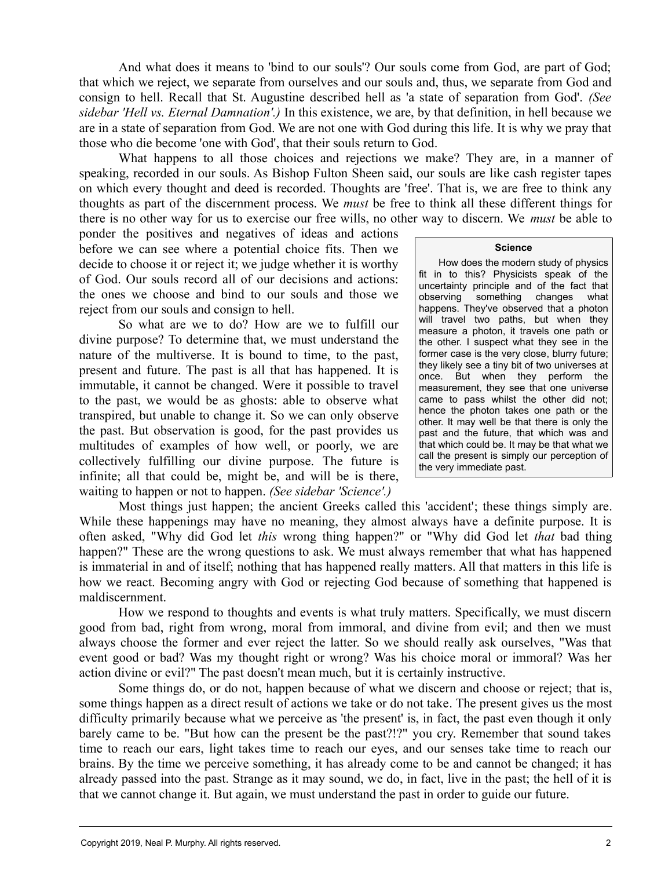And what does it means to 'bind to our souls'? Our souls come from God, are part of God; that which we reject, we separate from ourselves and our souls and, thus, we separate from God and consign to hell. Recall that St. Augustine described hell as 'a state of separation from God'. *(See sidebar 'Hell vs. Eternal Damnation'.)* In this existence, we are, by that definition, in hell because we are in a state of separation from God. We are not one with God during this life. It is why we pray that those who die become 'one with God', that their souls return to God.

What happens to all those choices and rejections we make? They are, in a manner of speaking, recorded in our souls. As Bishop Fulton Sheen said, our souls are like cash register tapes on which every thought and deed is recorded. Thoughts are 'free'. That is, we are free to think any thoughts as part of the discernment process. We *must* be free to think all these different things for there is no other way for us to exercise our free wills, no other way to discern. We *must* be able to

ponder the positives and negatives of ideas and actions before we can see where a potential choice fits. Then we decide to choose it or reject it; we judge whether it is worthy of God. Our souls record all of our decisions and actions: the ones we choose and bind to our souls and those we reject from our souls and consign to hell.

So what are we to do? How are we to fulfill our divine purpose? To determine that, we must understand the nature of the multiverse. It is bound to time, to the past, present and future. The past is all that has happened. It is immutable, it cannot be changed. Were it possible to travel to the past, we would be as ghosts: able to observe what transpired, but unable to change it. So we can only observe the past. But observation is good, for the past provides us multitudes of examples of how well, or poorly, we are collectively fulfilling our divine purpose. The future is infinite; all that could be, might be, and will be is there, waiting to happen or not to happen. *(See sidebar 'Science'.)*

## **Science**

How does the modern study of physics fit in to this? Physicists speak of the uncertainty principle and of the fact that observing something changes what happens. They've observed that a photon will travel two paths, but when they measure a photon, it travels one path or the other. I suspect what they see in the former case is the very close, blurry future; they likely see a tiny bit of two universes at once. But when they perform the measurement, they see that one universe came to pass whilst the other did not; hence the photon takes one path or the other. It may well be that there is only the past and the future, that which was and that which could be. It may be that what we call the present is simply our perception of the very immediate past.

Most things just happen; the ancient Greeks called this 'accident'; these things simply are. While these happenings may have no meaning, they almost always have a definite purpose. It is often asked, "Why did God let *this* wrong thing happen?" or "Why did God let *that* bad thing happen?" These are the wrong questions to ask. We must always remember that what has happened is immaterial in and of itself; nothing that has happened really matters. All that matters in this life is how we react. Becoming angry with God or rejecting God because of something that happened is maldiscernment.

How we respond to thoughts and events is what truly matters. Specifically, we must discern good from bad, right from wrong, moral from immoral, and divine from evil; and then we must always choose the former and ever reject the latter. So we should really ask ourselves, "Was that event good or bad? Was my thought right or wrong? Was his choice moral or immoral? Was her action divine or evil?" The past doesn't mean much, but it is certainly instructive.

Some things do, or do not, happen because of what we discern and choose or reject; that is, some things happen as a direct result of actions we take or do not take. The present gives us the most difficulty primarily because what we perceive as 'the present' is, in fact, the past even though it only barely came to be. "But how can the present be the past?!?" you cry. Remember that sound takes time to reach our ears, light takes time to reach our eyes, and our senses take time to reach our brains. By the time we perceive something, it has already come to be and cannot be changed; it has already passed into the past. Strange as it may sound, we do, in fact, live in the past; the hell of it is that we cannot change it. But again, we must understand the past in order to guide our future.